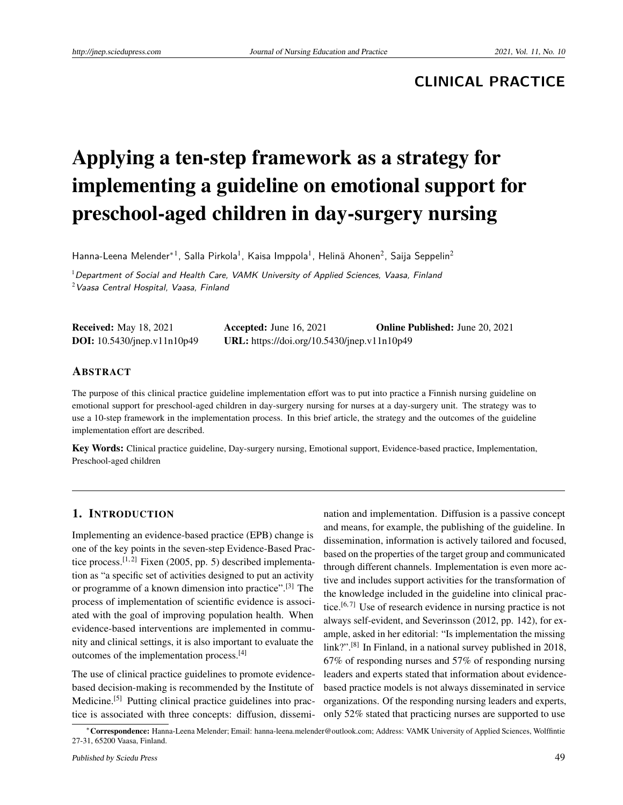# **CLINICAL PRACTICE**

# Applying a ten-step framework as a strategy for implementing a guideline on emotional support for preschool-aged children in day-surgery nursing

Hanna-Leena Melender\*<sup>1</sup>, Salla Pirkola<sup>1</sup>, Kaisa Imppola<sup>1</sup>, Helinä Ahonen<sup>2</sup>, Saija Seppelin<sup>2</sup>

 $1$ Department of Social and Health Care, VAMK University of Applied Sciences, Vaasa, Finland  $2$ Vaasa Central Hospital, Vaasa, Finland

| <b>Received:</b> May 18, 2021      | Accepted: June $16, 2021$                   | <b>Online Published:</b> June 20, 2021 |
|------------------------------------|---------------------------------------------|----------------------------------------|
| <b>DOI:</b> 10.5430/jnep.v11n10p49 | URL: https://doi.org/10.5430/jnep.v11n10p49 |                                        |

#### ABSTRACT

The purpose of this clinical practice guideline implementation effort was to put into practice a Finnish nursing guideline on emotional support for preschool-aged children in day-surgery nursing for nurses at a day-surgery unit. The strategy was to use a 10-step framework in the implementation process. In this brief article, the strategy and the outcomes of the guideline implementation effort are described.

Key Words: Clinical practice guideline, Day-surgery nursing, Emotional support, Evidence-based practice, Implementation, Preschool-aged children

# 1. INTRODUCTION

Implementing an evidence-based practice (EPB) change is one of the key points in the seven-step Evidence-Based Prac-tice process.<sup>[\[1,](#page-3-0)[2\]](#page-3-1)</sup> Fixen (2005, pp. 5) described implementation as "a specific set of activities designed to put an activity or programme of a known dimension into practice".[\[3\]](#page-3-2) The process of implementation of scientific evidence is associated with the goal of improving population health. When evidence-based interventions are implemented in community and clinical settings, it is also important to evaluate the outcomes of the implementation process.[\[4\]](#page-4-0)

The use of clinical practice guidelines to promote evidencebased decision-making is recommended by the Institute of Medicine.<sup>[\[5\]](#page-4-1)</sup> Putting clinical practice guidelines into practice is associated with three concepts: diffusion, dissemi-

nation and implementation. Diffusion is a passive concept and means, for example, the publishing of the guideline. In dissemination, information is actively tailored and focused, based on the properties of the target group and communicated through different channels. Implementation is even more active and includes support activities for the transformation of the knowledge included in the guideline into clinical prac-tice.<sup>[\[6,](#page-4-2)[7\]](#page-4-3)</sup> Use of research evidence in nursing practice is not always self-evident, and Severinsson (2012, pp. 142), for example, asked in her editorial: "Is implementation the missing link?".<sup>[\[8\]](#page-4-4)</sup> In Finland, in a national survey published in 2018, 67% of responding nurses and 57% of responding nursing leaders and experts stated that information about evidencebased practice models is not always disseminated in service organizations. Of the responding nursing leaders and experts, only 52% stated that practicing nurses are supported to use

<sup>∗</sup>Correspondence: Hanna-Leena Melender; Email: hanna-leena.melender@outlook.com; Address: VAMK University of Applied Sciences, Wolffintie 27-31, 65200 Vaasa, Finland.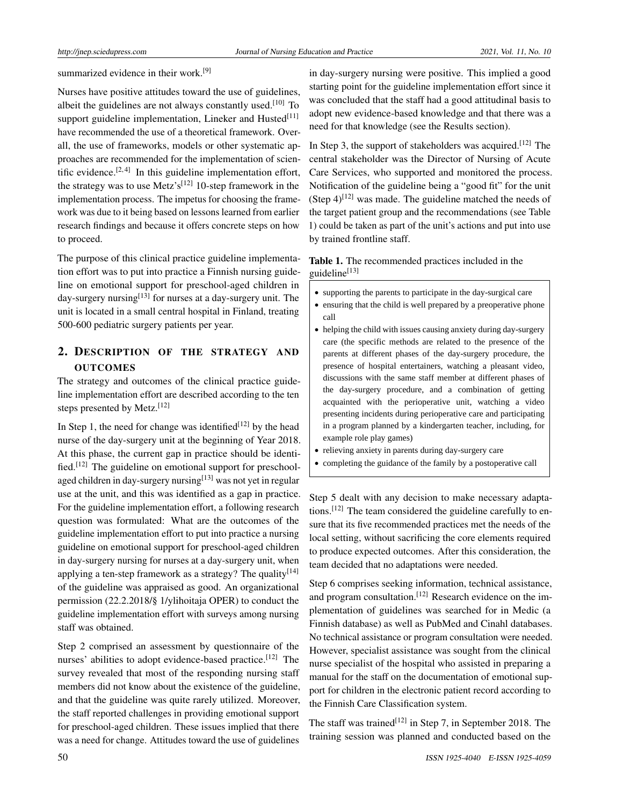summarized evidence in their work.<sup>[\[9\]](#page-4-5)</sup>

Nurses have positive attitudes toward the use of guidelines, albeit the guidelines are not always constantly used.[\[10\]](#page-4-6) To support guideline implementation, Lineker and Husted<sup>[\[11\]](#page-4-7)</sup> have recommended the use of a theoretical framework. Overall, the use of frameworks, models or other systematic approaches are recommended for the implementation of scien-tific evidence.<sup>[\[2,](#page-3-1)[4\]](#page-4-0)</sup> In this guideline implementation effort, the strategy was to use Metz's<sup>[\[12\]](#page-4-8)</sup> 10-step framework in the implementation process. The impetus for choosing the framework was due to it being based on lessons learned from earlier research findings and because it offers concrete steps on how to proceed.

The purpose of this clinical practice guideline implementation effort was to put into practice a Finnish nursing guideline on emotional support for preschool-aged children in day-surgery nursing<sup>[\[13\]](#page-4-9)</sup> for nurses at a day-surgery unit. The unit is located in a small central hospital in Finland, treating 500-600 pediatric surgery patients per year.

# 2. DESCRIPTION OF THE STRATEGY AND **OUTCOMES**

The strategy and outcomes of the clinical practice guideline implementation effort are described according to the ten steps presented by Metz.[\[12\]](#page-4-8)

In Step 1, the need for change was identified<sup>[\[12\]](#page-4-8)</sup> by the head nurse of the day-surgery unit at the beginning of Year 2018. At this phase, the current gap in practice should be identi-fied.<sup>[\[12\]](#page-4-8)</sup> The guideline on emotional support for preschool-aged children in day-surgery nursing<sup>[\[13\]](#page-4-9)</sup> was not yet in regular use at the unit, and this was identified as a gap in practice. For the guideline implementation effort, a following research question was formulated: What are the outcomes of the guideline implementation effort to put into practice a nursing guideline on emotional support for preschool-aged children in day-surgery nursing for nurses at a day-surgery unit, when applying a ten-step framework as a strategy? The quality<sup>[\[14\]](#page-4-10)</sup> of the guideline was appraised as good. An organizational permission (22.2.2018/§ 1/ylihoitaja OPER) to conduct the guideline implementation effort with surveys among nursing staff was obtained.

Step 2 comprised an assessment by questionnaire of the nurses' abilities to adopt evidence-based practice.<sup>[\[12\]](#page-4-8)</sup> The survey revealed that most of the responding nursing staff members did not know about the existence of the guideline, and that the guideline was quite rarely utilized. Moreover, the staff reported challenges in providing emotional support for preschool-aged children. These issues implied that there was a need for change. Attitudes toward the use of guidelines

in day-surgery nursing were positive. This implied a good starting point for the guideline implementation effort since it was concluded that the staff had a good attitudinal basis to adopt new evidence-based knowledge and that there was a need for that knowledge (see the Results section).

In Step 3, the support of stakeholders was acquired.<sup>[\[12\]](#page-4-8)</sup> The central stakeholder was the Director of Nursing of Acute Care Services, who supported and monitored the process. Notification of the guideline being a "good fit" for the unit (Step  $4$ )<sup>[\[12\]](#page-4-8)</sup> was made. The guideline matched the needs of the target patient group and the recommendations (see Table 1) could be taken as part of the unit's actions and put into use by trained frontline staff.

#### Table 1. The recommended practices included in the guideline $[13]$

- supporting the parents to participate in the day-surgical care
- ensuring that the child is well prepared by a preoperative phone call
- helping the child with issues causing anxiety during day-surgery care (the specific methods are related to the presence of the parents at different phases of the day-surgery procedure, the presence of hospital entertainers, watching a pleasant video, discussions with the same staff member at different phases of the day-surgery procedure, and a combination of getting acquainted with the perioperative unit, watching a video presenting incidents during perioperative care and participating in a program planned by a kindergarten teacher, including, for example role play games)
- relieving anxiety in parents during day-surgery care
- completing the guidance of the family by a postoperative call

Step 5 dealt with any decision to make necessary adapta-tions.<sup>[\[12\]](#page-4-8)</sup> The team considered the guideline carefully to ensure that its five recommended practices met the needs of the local setting, without sacrificing the core elements required to produce expected outcomes. After this consideration, the team decided that no adaptations were needed.

Step 6 comprises seeking information, technical assistance, and program consultation.<sup>[\[12\]](#page-4-8)</sup> Research evidence on the implementation of guidelines was searched for in Medic (a Finnish database) as well as PubMed and Cinahl databases. No technical assistance or program consultation were needed. However, specialist assistance was sought from the clinical nurse specialist of the hospital who assisted in preparing a manual for the staff on the documentation of emotional support for children in the electronic patient record according to the Finnish Care Classification system.

The staff was trained<sup>[\[12\]](#page-4-8)</sup> in Step 7, in September 2018. The training session was planned and conducted based on the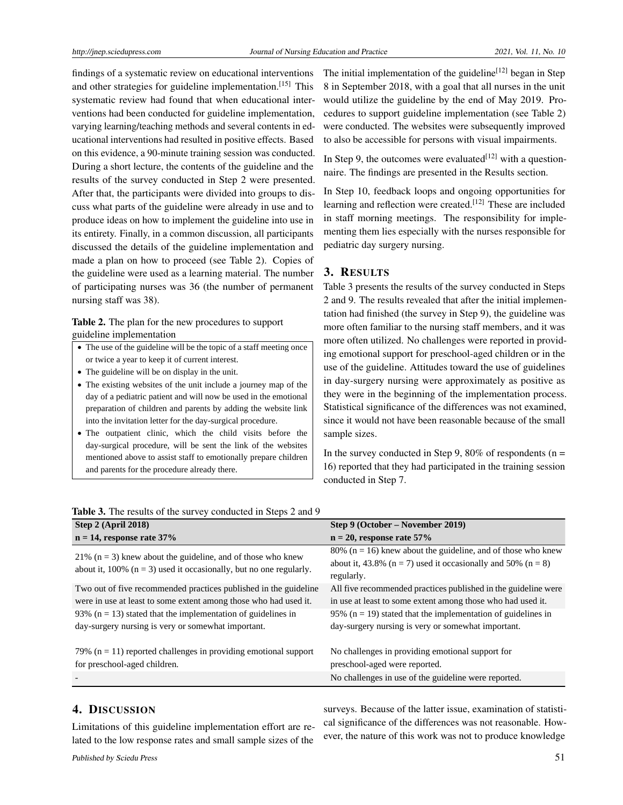findings of a systematic review on educational interventions and other strategies for guideline implementation.[\[15\]](#page-4-11) This systematic review had found that when educational interventions had been conducted for guideline implementation, varying learning/teaching methods and several contents in educational interventions had resulted in positive effects. Based on this evidence, a 90-minute training session was conducted. During a short lecture, the contents of the guideline and the results of the survey conducted in Step 2 were presented. After that, the participants were divided into groups to discuss what parts of the guideline were already in use and to produce ideas on how to implement the guideline into use in its entirety. Finally, in a common discussion, all participants discussed the details of the guideline implementation and made a plan on how to proceed (see Table 2). Copies of the guideline were used as a learning material. The number of participating nurses was 36 (the number of permanent nursing staff was 38).

#### Table 2. The plan for the new procedures to support guideline implementation

- The use of the guideline will be the topic of a staff meeting once or twice a year to keep it of current interest.
- The guideline will be on display in the unit.
- The existing websites of the unit include a journey map of the day of a pediatric patient and will now be used in the emotional preparation of children and parents by adding the website link into the invitation letter for the day-surgical procedure.
- The outpatient clinic, which the child visits before the day-surgical procedure, will be sent the link of the websites mentioned above to assist staff to emotionally prepare children and parents for the procedure already there.

The initial implementation of the guideline<sup>[\[12\]](#page-4-8)</sup> began in Step 8 in September 2018, with a goal that all nurses in the unit would utilize the guideline by the end of May 2019. Procedures to support guideline implementation (see Table 2) were conducted. The websites were subsequently improved to also be accessible for persons with visual impairments.

In Step 9, the outcomes were evaluated  $[12]$  with a questionnaire. The findings are presented in the Results section.

In Step 10, feedback loops and ongoing opportunities for learning and reflection were created.<sup>[\[12\]](#page-4-8)</sup> These are included in staff morning meetings. The responsibility for implementing them lies especially with the nurses responsible for pediatric day surgery nursing.

## 3. RESULTS

Table 3 presents the results of the survey conducted in Steps 2 and 9. The results revealed that after the initial implementation had finished (the survey in Step 9), the guideline was more often familiar to the nursing staff members, and it was more often utilized. No challenges were reported in providing emotional support for preschool-aged children or in the use of the guideline. Attitudes toward the use of guidelines in day-surgery nursing were approximately as positive as they were in the beginning of the implementation process. Statistical significance of the differences was not examined, since it would not have been reasonable because of the small sample sizes.

In the survey conducted in Step 9, 80% of respondents ( $n =$ 16) reported that they had participated in the training session conducted in Step 7.

| Step $2$ (April 2018)                                                                                                                     | Step 9 (October – November 2019)                                                                                                                       |
|-------------------------------------------------------------------------------------------------------------------------------------------|--------------------------------------------------------------------------------------------------------------------------------------------------------|
| $n = 14$ , response rate 37%                                                                                                              | $n = 20$ , response rate 57%                                                                                                                           |
| 21% ( $n = 3$ ) knew about the guideline, and of those who knew<br>about it, 100% ( $n = 3$ ) used it occasionally, but no one regularly. | 80% ( $n = 16$ ) knew about the guideline, and of those who knew<br>about it, 43.8% ( $n = 7$ ) used it occasionally and 50% ( $n = 8$ )<br>regularly. |
| Two out of five recommended practices published in the guideline<br>were in use at least to some extent among those who had used it.      | All five recommended practices published in the guideline were<br>in use at least to some extent among those who had used it.                          |
| 93% ( $n = 13$ ) stated that the implementation of guidelines in<br>day-surgery nursing is very or somewhat important.                    | 95% ( $n = 19$ ) stated that the implementation of guidelines in<br>day-surgery nursing is very or somewhat important.                                 |
| 79% ( $n = 11$ ) reported challenges in providing emotional support<br>for preschool-aged children.                                       | No challenges in providing emotional support for<br>preschool-aged were reported.                                                                      |
|                                                                                                                                           | No challenges in use of the guideline were reported.                                                                                                   |

#### Table 3. The results of the survey conducted in Steps 2 and 9

# 4. DISCUSSION

Limitations of this guideline implementation effort are related to the low response rates and small sample sizes of the

surveys. Because of the latter issue, examination of statistical significance of the differences was not reasonable. However, the nature of this work was not to produce knowledge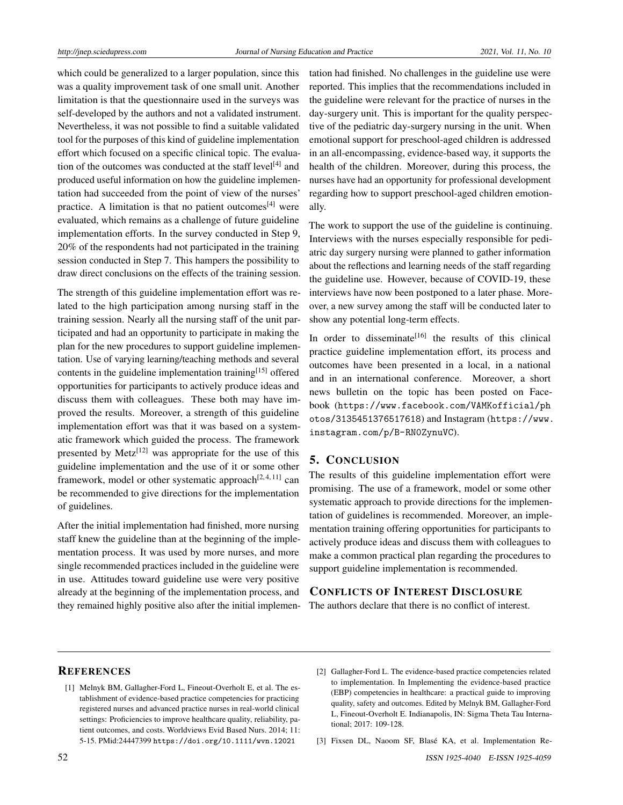which could be generalized to a larger population, since this was a quality improvement task of one small unit. Another limitation is that the questionnaire used in the surveys was self-developed by the authors and not a validated instrument. Nevertheless, it was not possible to find a suitable validated tool for the purposes of this kind of guideline implementation effort which focused on a specific clinical topic. The evalua-tion of the outcomes was conducted at the staff level<sup>[\[4\]](#page-4-0)</sup> and produced useful information on how the guideline implementation had succeeded from the point of view of the nurses' practice. A limitation is that no patient outcomes<sup>[\[4\]](#page-4-0)</sup> were evaluated, which remains as a challenge of future guideline implementation efforts. In the survey conducted in Step 9, 20% of the respondents had not participated in the training session conducted in Step 7. This hampers the possibility to draw direct conclusions on the effects of the training session.

The strength of this guideline implementation effort was related to the high participation among nursing staff in the training session. Nearly all the nursing staff of the unit participated and had an opportunity to participate in making the plan for the new procedures to support guideline implementation. Use of varying learning/teaching methods and several contents in the guideline implementation training<sup>[\[15\]](#page-4-11)</sup> offered opportunities for participants to actively produce ideas and discuss them with colleagues. These both may have improved the results. Moreover, a strength of this guideline implementation effort was that it was based on a systematic framework which guided the process. The framework presented by Metz<sup>[\[12\]](#page-4-8)</sup> was appropriate for the use of this guideline implementation and the use of it or some other framework, model or other systematic approach<sup>[\[2,](#page-3-1)[4,](#page-4-0)[11\]](#page-4-7)</sup> can be recommended to give directions for the implementation of guidelines.

After the initial implementation had finished, more nursing staff knew the guideline than at the beginning of the implementation process. It was used by more nurses, and more single recommended practices included in the guideline were in use. Attitudes toward guideline use were very positive already at the beginning of the implementation process, and they remained highly positive also after the initial implementation had finished. No challenges in the guideline use were reported. This implies that the recommendations included in the guideline were relevant for the practice of nurses in the day-surgery unit. This is important for the quality perspective of the pediatric day-surgery nursing in the unit. When emotional support for preschool-aged children is addressed in an all-encompassing, evidence-based way, it supports the health of the children. Moreover, during this process, the nurses have had an opportunity for professional development regarding how to support preschool-aged children emotionally.

The work to support the use of the guideline is continuing. Interviews with the nurses especially responsible for pediatric day surgery nursing were planned to gather information about the reflections and learning needs of the staff regarding the guideline use. However, because of COVID-19, these interviews have now been postponed to a later phase. Moreover, a new survey among the staff will be conducted later to show any potential long-term effects.

In order to disseminate<sup>[\[16\]](#page-4-12)</sup> the results of this clinical practice guideline implementation effort, its process and outcomes have been presented in a local, in a national and in an international conference. Moreover, a short news bulletin on the topic has been posted on Facebook ([https://www.facebook.com/VAMKofficial/ph](https://www.facebook.com/VAMKofficial/photos/3135451376517618) [otos/3135451376517618](https://www.facebook.com/VAMKofficial/photos/3135451376517618)) and Instagram ([https://www.](https://www.instagram.com/p/B-RN0ZynuVC) [instagram.com/p/B-RN0ZynuVC](https://www.instagram.com/p/B-RN0ZynuVC)).

## 5. CONCLUSION

The results of this guideline implementation effort were promising. The use of a framework, model or some other systematic approach to provide directions for the implementation of guidelines is recommended. Moreover, an implementation training offering opportunities for participants to actively produce ideas and discuss them with colleagues to make a common practical plan regarding the procedures to support guideline implementation is recommended.

#### CONFLICTS OF INTEREST DISCLOSURE

The authors declare that there is no conflict of interest.

#### **REFERENCES**

<span id="page-3-0"></span>[1] Melnyk BM, Gallagher-Ford L, Fineout-Overholt E, et al. The establishment of evidence-based practice competencies for practicing registered nurses and advanced practice nurses in real-world clinical settings: Proficiencies to improve healthcare quality, reliability, patient outcomes, and costs. Worldviews Evid Based Nurs. 2014; 11: 5-15. PMid:24447399 <https://doi.org/10.1111/wvn.12021>

<span id="page-3-1"></span><sup>[2]</sup> Gallagher-Ford L. The evidence-based practice competencies related to implementation. In Implementing the evidence-based practice (EBP) competencies in healthcare: a practical guide to improving quality, safety and outcomes. Edited by Melnyk BM, Gallagher-Ford L, Fineout-Overholt E. Indianapolis, IN: Sigma Theta Tau International; 2017: 109-128.

<span id="page-3-2"></span><sup>[3]</sup> Fixsen DL, Naoom SF, Blasé KA, et al. Implementation Re-